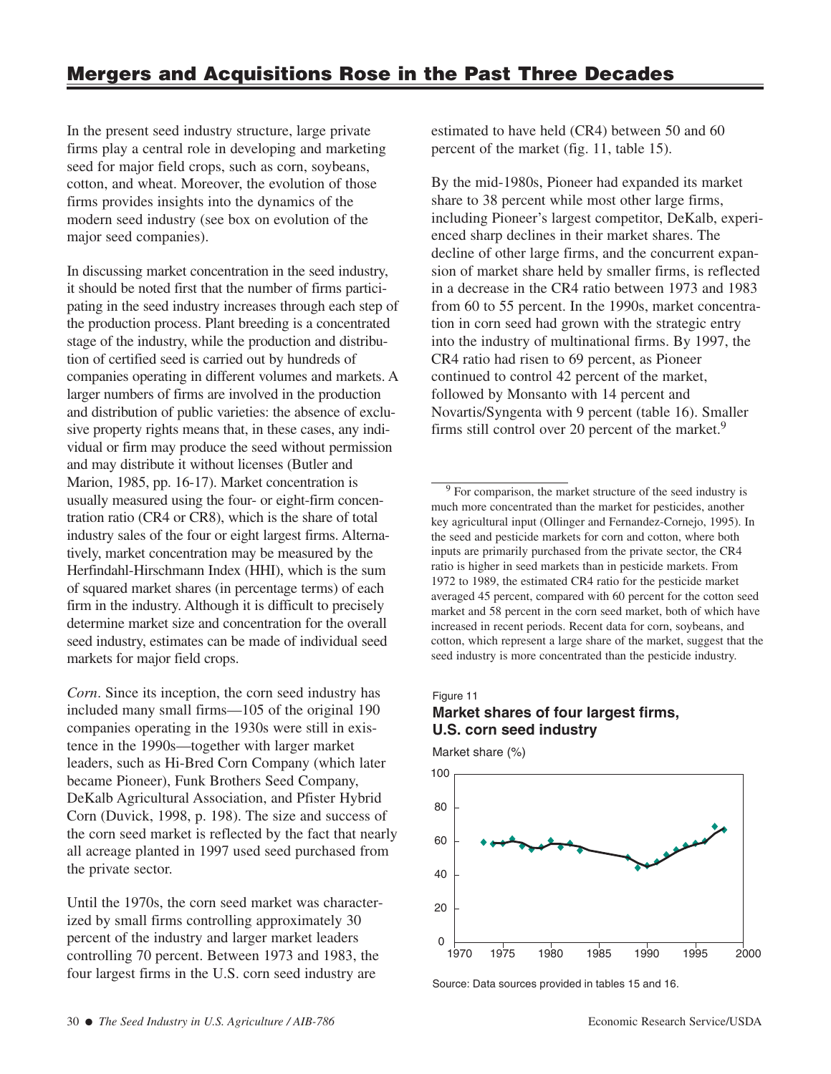In the present seed industry structure, large private firms play a central role in developing and marketing seed for major field crops, such as corn, soybeans, cotton, and wheat. Moreover, the evolution of those firms provides insights into the dynamics of the modern seed industry (see box on evolution of the major seed companies).

In discussing market concentration in the seed industry, it should be noted first that the number of firms participating in the seed industry increases through each step of the production process. Plant breeding is a concentrated stage of the industry, while the production and distribution of certified seed is carried out by hundreds of companies operating in different volumes and markets. A larger numbers of firms are involved in the production and distribution of public varieties: the absence of exclusive property rights means that, in these cases, any individual or firm may produce the seed without permission and may distribute it without licenses (Butler and Marion, 1985, pp. 16-17). Market concentration is usually measured using the four- or eight-firm concentration ratio (CR4 or CR8), which is the share of total industry sales of the four or eight largest firms. Alternatively, market concentration may be measured by the Herfindahl-Hirschmann Index (HHI), which is the sum of squared market shares (in percentage terms) of each firm in the industry. Although it is difficult to precisely determine market size and concentration for the overall seed industry, estimates can be made of individual seed markets for major field crops.

*Corn*. Since its inception, the corn seed industry has included many small firms—105 of the original 190 companies operating in the 1930s were still in existence in the 1990s—together with larger market leaders, such as Hi-Bred Corn Company (which later became Pioneer), Funk Brothers Seed Company, DeKalb Agricultural Association, and Pfister Hybrid Corn (Duvick, 1998, p. 198). The size and success of the corn seed market is reflected by the fact that nearly all acreage planted in 1997 used seed purchased from the private sector.

Until the 1970s, the corn seed market was characterized by small firms controlling approximately 30 percent of the industry and larger market leaders controlling 70 percent. Between 1973 and 1983, the four largest firms in the U.S. corn seed industry are

estimated to have held (CR4) between 50 and 60 percent of the market (fig. 11, table 15).

By the mid-1980s, Pioneer had expanded its market share to 38 percent while most other large firms, including Pioneer's largest competitor, DeKalb, experienced sharp declines in their market shares. The decline of other large firms, and the concurrent expansion of market share held by smaller firms, is reflected in a decrease in the CR4 ratio between 1973 and 1983 from 60 to 55 percent. In the 1990s, market concentration in corn seed had grown with the strategic entry into the industry of multinational firms. By 1997, the CR4 ratio had risen to 69 percent, as Pioneer continued to control 42 percent of the market, followed by Monsanto with 14 percent and Novartis/Syngenta with 9 percent (table 16). Smaller firms still control over 20 percent of the market.<sup>9</sup>

<sup>9</sup> For comparison, the market structure of the seed industry is much more concentrated than the market for pesticides, another key agricultural input (Ollinger and Fernandez-Cornejo, 1995). In the seed and pesticide markets for corn and cotton, where both inputs are primarily purchased from the private sector, the CR4 ratio is higher in seed markets than in pesticide markets. From 1972 to 1989, the estimated CR4 ratio for the pesticide market averaged 45 percent, compared with 60 percent for the cotton seed market and 58 percent in the corn seed market, both of which have increased in recent periods. Recent data for corn, soybeans, and cotton, which represent a large share of the market, suggest that the seed industry is more concentrated than the pesticide industry.

## Figure 11 **Market shares of four largest firms, U.S. corn seed industry**

Market share (%)



Source: Data sources provided in tables 15 and 16.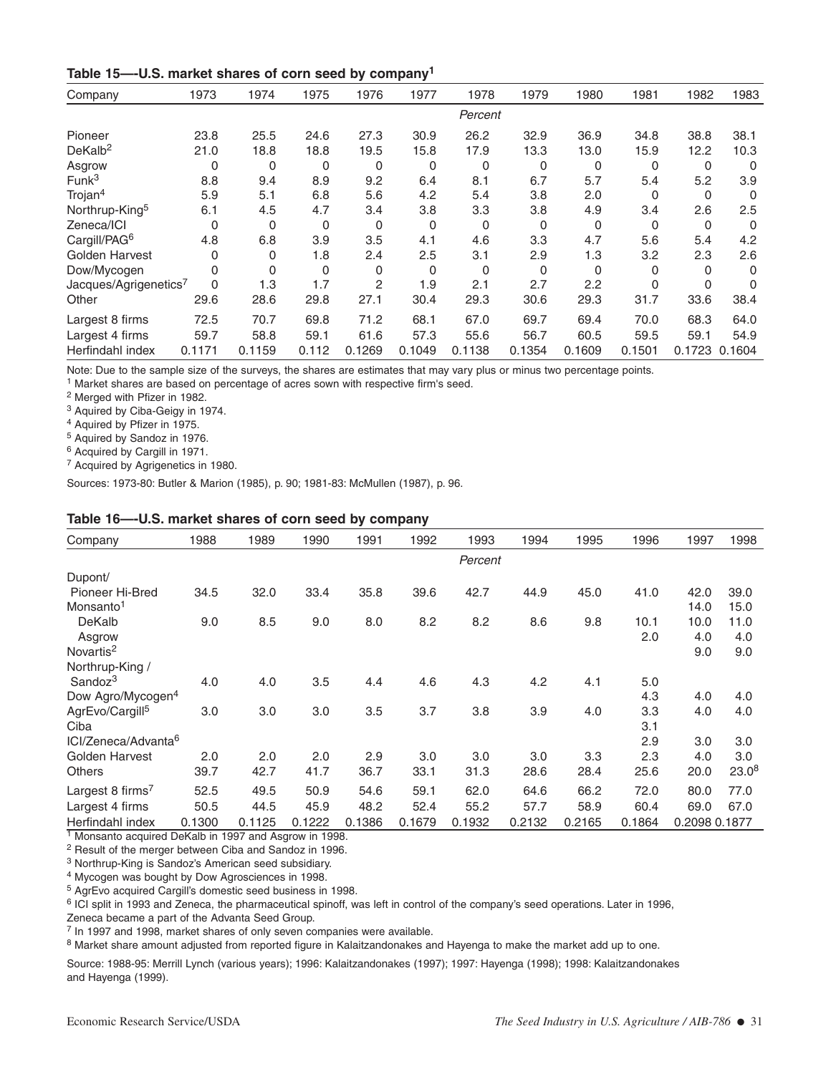| Table 15-U.S. market shares of corn seed by company <sup>1</sup> |  |  |  |  |  |  |  |
|------------------------------------------------------------------|--|--|--|--|--|--|--|
|------------------------------------------------------------------|--|--|--|--|--|--|--|

| Company                    | 1973     | 1974   | 1975  | 1976     | 1977     | 1978     | 1979   | 1980     | 1981     | 1982   | 1983     |
|----------------------------|----------|--------|-------|----------|----------|----------|--------|----------|----------|--------|----------|
|                            |          |        |       |          |          | Percent  |        |          |          |        |          |
| Pioneer                    | 23.8     | 25.5   | 24.6  | 27.3     | 30.9     | 26.2     | 32.9   | 36.9     | 34.8     | 38.8   | 38.1     |
| DeKalb <sup>2</sup>        | 21.0     | 18.8   | 18.8  | 19.5     | 15.8     | 17.9     | 13.3   | 13.0     | 15.9     | 12.2   | 10.3     |
| Asgrow                     | 0        | 0      | 0     | 0        | 0        | $\Omega$ | 0      | 0        | 0        | 0      | $\Omega$ |
| Funk <sup>3</sup>          | 8.8      | 9.4    | 8.9   | 9.2      | 6.4      | 8.1      | 6.7    | 5.7      | 5.4      | 5.2    | 3.9      |
| Trojan <sup>4</sup>        | 5.9      | 5.1    | 6.8   | 5.6      | 4.2      | 5.4      | 3.8    | 2.0      | $\Omega$ | 0      | $\Omega$ |
| Northrup-King <sup>5</sup> | 6.1      | 4.5    | 4.7   | 3.4      | 3.8      | 3.3      | 3.8    | 4.9      | 3.4      | 2.6    | 2.5      |
| Zeneca/ICI                 | $\Omega$ | 0      | 0     | 0        | 0        | $\Omega$ | 0      | 0        | 0        | 0      | 0        |
| Cargill/PAG <sup>6</sup>   | 4.8      | 6.8    | 3.9   | 3.5      | 4.1      | 4.6      | 3.3    | 4.7      | 5.6      | 5.4    | 4.2      |
| Golden Harvest             | 0        | 0      | 1.8   | 2.4      | 2.5      | 3.1      | 2.9    | 1.3      | 3.2      | 2.3    | 2.6      |
| Dow/Mycogen                | 0        | 0      | 0     | $\Omega$ | $\Omega$ | $\Omega$ | 0      | $\Omega$ | 0        | 0      | $\Omega$ |
| Jacques/Agrigenetics7      | $\Omega$ | 1.3    | 1.7   | 2        | 1.9      | 2.1      | 2.7    | 2.2      | $\Omega$ | 0      | 0        |
| Other                      | 29.6     | 28.6   | 29.8  | 27.1     | 30.4     | 29.3     | 30.6   | 29.3     | 31.7     | 33.6   | 38.4     |
| Largest 8 firms            | 72.5     | 70.7   | 69.8  | 71.2     | 68.1     | 67.0     | 69.7   | 69.4     | 70.0     | 68.3   | 64.0     |
| Largest 4 firms            | 59.7     | 58.8   | 59.1  | 61.6     | 57.3     | 55.6     | 56.7   | 60.5     | 59.5     | 59.1   | 54.9     |
| Herfindahl index           | 0.1171   | 0.1159 | 0.112 | 0.1269   | 0.1049   | 0.1138   | 0.1354 | 0.1609   | 0.1501   | 0.1723 | 0.1604   |

Note: Due to the sample size of the surveys, the shares are estimates that may vary plus or minus two percentage points.

<sup>1</sup> Market shares are based on percentage of acres sown with respective firm's seed.

<sup>2</sup> Merged with Pfizer in 1982.

<sup>3</sup> Aquired by Ciba-Geigy in 1974.

<sup>4</sup> Aquired by Pfizer in 1975.

<sup>5</sup> Aquired by Sandoz in 1976.

<sup>6</sup> Acquired by Cargill in 1971.

<sup>7</sup> Acquired by Agrigenetics in 1980.

Sources: 1973-80: Butler & Marion (1985), p. 90; 1981-83: McMullen (1987), p. 96.

### **Table 16—-U.S. market shares of corn seed by company**

| Company                         | 1988   | 1989   | 1990   | 1991   | 1992   | 1993    | 1994   | 1995   | 1996   | 1997          | 1998       |
|---------------------------------|--------|--------|--------|--------|--------|---------|--------|--------|--------|---------------|------------|
|                                 |        |        |        |        |        | Percent |        |        |        |               |            |
| Dupont/                         |        |        |        |        |        |         |        |        |        |               |            |
| Pioneer Hi-Bred                 | 34.5   | 32.0   | 33.4   | 35.8   | 39.6   | 42.7    | 44.9   | 45.0   | 41.0   | 42.0          | 39.0       |
| Monsanto <sup>1</sup>           |        |        |        |        |        |         |        |        |        | 14.0          | 15.0       |
| DeKalb                          | 9.0    | 8.5    | 9.0    | 8.0    | 8.2    | 8.2     | 8.6    | 9.8    | 10.1   | 10.0          | 11.0       |
| Asgrow                          |        |        |        |        |        |         |        |        | 2.0    | 4.0           | 4.0        |
| Novartis <sup>2</sup>           |        |        |        |        |        |         |        |        |        | 9.0           | 9.0        |
| Northrup-King /                 |        |        |        |        |        |         |        |        |        |               |            |
| Sandoz <sup>3</sup>             | 4.0    | 4.0    | 3.5    | 4.4    | 4.6    | 4.3     | 4.2    | 4.1    | 5.0    |               |            |
| Dow Agro/Mycogen <sup>4</sup>   |        |        |        |        |        |         |        |        | 4.3    | 4.0           | 4.0        |
| AgrEvo/Cargill <sup>5</sup>     | 3.0    | 3.0    | 3.0    | 3.5    | 3.7    | 3.8     | 3.9    | 4.0    | 3.3    | 4.0           | 4.0        |
| Ciba                            |        |        |        |        |        |         |        |        | 3.1    |               |            |
| ICI/Zeneca/Advanta <sup>6</sup> |        |        |        |        |        |         |        |        | 2.9    | 3.0           | 3.0        |
| Golden Harvest                  | 2.0    | 2.0    | 2.0    | 2.9    | 3.0    | 3.0     | 3.0    | 3.3    | 2.3    | 4.0           | 3.0        |
| <b>Others</b>                   | 39.7   | 42.7   | 41.7   | 36.7   | 33.1   | 31.3    | 28.6   | 28.4   | 25.6   | 20.0          | $23.0^{8}$ |
| Largest 8 firms <sup>7</sup>    | 52.5   | 49.5   | 50.9   | 54.6   | 59.1   | 62.0    | 64.6   | 66.2   | 72.0   | 80.0          | 77.0       |
| Largest 4 firms                 | 50.5   | 44.5   | 45.9   | 48.2   | 52.4   | 55.2    | 57.7   | 58.9   | 60.4   | 69.0          | 67.0       |
| Herfindahl index                | 0.1300 | 0.1125 | 0.1222 | 0.1386 | 0.1679 | 0.1932  | 0.2132 | 0.2165 | 0.1864 | 0.2098 0.1877 |            |

<sup>1</sup> Monsanto acquired DeKalb in 1997 and Asgrow in 1998.

<sup>2</sup> Result of the merger between Ciba and Sandoz in 1996.

<sup>3</sup> Northrup-King is Sandoz's American seed subsidiary.

<sup>4</sup> Mycogen was bought by Dow Agrosciences in 1998.

<sup>5</sup> AgrEvo acquired Cargill's domestic seed business in 1998.

<sup>6</sup> ICI split in 1993 and Zeneca, the pharmaceutical spinoff, was left in control of the company's seed operations. Later in 1996,

Zeneca became a part of the Advanta Seed Group.

<sup>7</sup> In 1997 and 1998, market shares of only seven companies were available.

8 Market share amount adjusted from reported figure in Kalaitzandonakes and Hayenga to make the market add up to one.

Source: 1988-95: Merrill Lynch (various years); 1996: Kalaitzandonakes (1997); 1997: Hayenga (1998); 1998: Kalaitzandonakes and Hayenga (1999).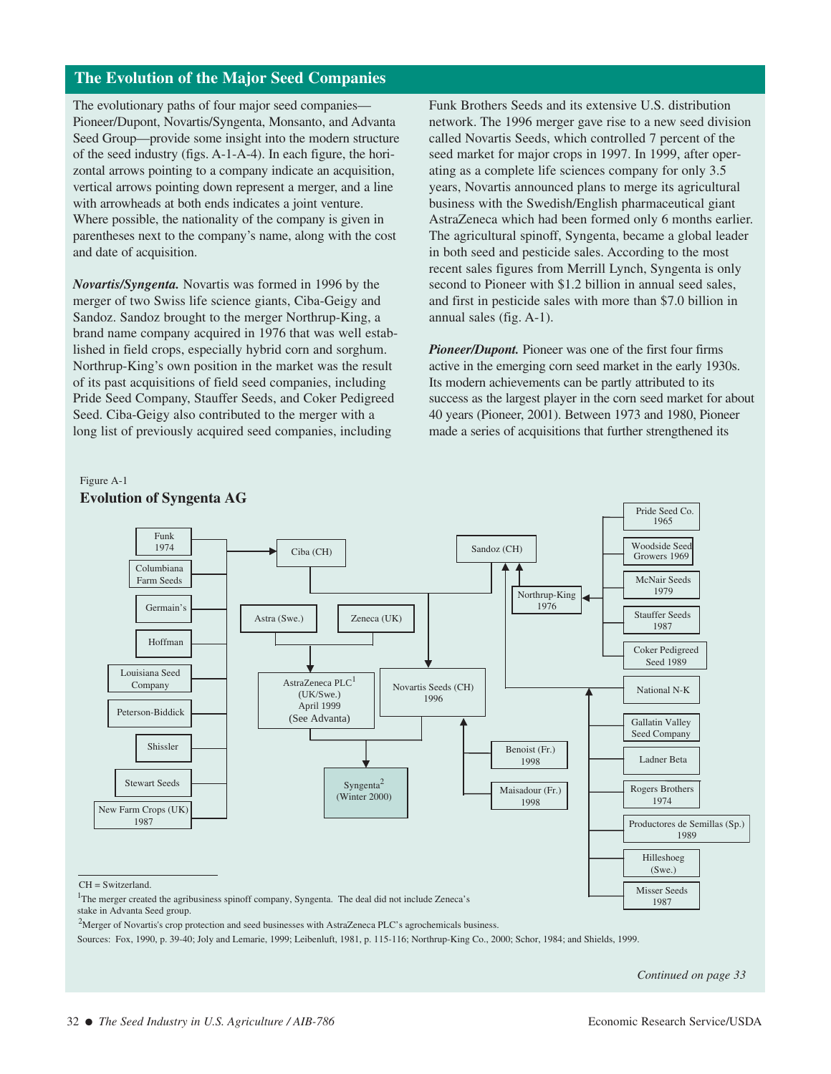# **The Evolution of the Major Seed Companies**

The evolutionary paths of four major seed companies— Pioneer/Dupont, Novartis/Syngenta, Monsanto, and Advanta Seed Group—provide some insight into the modern structure of the seed industry (figs. A-1-A-4). In each figure, the horizontal arrows pointing to a company indicate an acquisition, vertical arrows pointing down represent a merger, and a line with arrowheads at both ends indicates a joint venture. Where possible, the nationality of the company is given in parentheses next to the company's name, along with the cost and date of acquisition.

*Novartis/Syngenta.* Novartis was formed in 1996 by the merger of two Swiss life science giants, Ciba-Geigy and Sandoz. Sandoz brought to the merger Northrup-King, a brand name company acquired in 1976 that was well established in field crops, especially hybrid corn and sorghum. Northrup-King's own position in the market was the result of its past acquisitions of field seed companies, including Pride Seed Company, Stauffer Seeds, and Coker Pedigreed Seed. Ciba-Geigy also contributed to the merger with a long list of previously acquired seed companies, including

Figure A-1

Funk Brothers Seeds and its extensive U.S. distribution network. The 1996 merger gave rise to a new seed division called Novartis Seeds, which controlled 7 percent of the seed market for major crops in 1997. In 1999, after operating as a complete life sciences company for only 3.5 years, Novartis announced plans to merge its agricultural business with the Swedish/English pharmaceutical giant AstraZeneca which had been formed only 6 months earlier. The agricultural spinoff, Syngenta, became a global leader in both seed and pesticide sales. According to the most recent sales figures from Merrill Lynch, Syngenta is only second to Pioneer with \$1.2 billion in annual seed sales, and first in pesticide sales with more than \$7.0 billion in annual sales (fig. A-1).

*Pioneer/Dupont.* Pioneer was one of the first four firms active in the emerging corn seed market in the early 1930s. Its modern achievements can be partly attributed to its success as the largest player in the corn seed market for about 40 years (Pioneer, 2001). Between 1973 and 1980, Pioneer made a series of acquisitions that further strengthened its



#### <sup>2</sup>Merger of Novartis's crop protection and seed businesses with AstraZeneca PLC's agrochemicals business.

Sources: Fox, 1990, p. 39-40; Joly and Lemarie, 1999; Leibenluft, 1981, p. 115-116; Northrup-King Co., 2000; Schor, 1984; and Shields, 1999.

*Continued on page 33*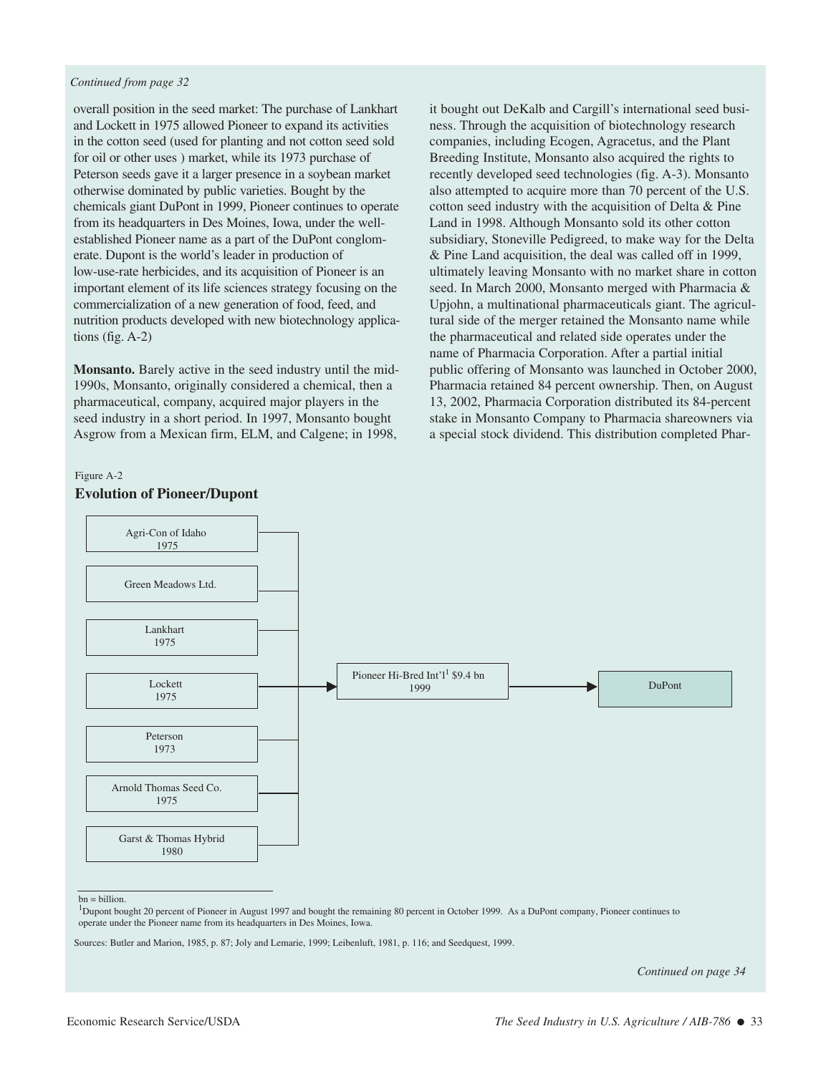### *Continued from page 32*

overall position in the seed market: The purchase of Lankhart and Lockett in 1975 allowed Pioneer to expand its activities in the cotton seed (used for planting and not cotton seed sold for oil or other uses ) market, while its 1973 purchase of Peterson seeds gave it a larger presence in a soybean market otherwise dominated by public varieties. Bought by the chemicals giant DuPont in 1999, Pioneer continues to operate from its headquarters in Des Moines, Iowa, under the wellestablished Pioneer name as a part of the DuPont conglomerate. Dupont is the world's leader in production of low-use-rate herbicides, and its acquisition of Pioneer is an important element of its life sciences strategy focusing on the commercialization of a new generation of food, feed, and nutrition products developed with new biotechnology applications (fig. A-2)

**Monsanto.** Barely active in the seed industry until the mid-1990s, Monsanto, originally considered a chemical, then a pharmaceutical, company, acquired major players in the seed industry in a short period. In 1997, Monsanto bought Asgrow from a Mexican firm, ELM, and Calgene; in 1998,

it bought out DeKalb and Cargill's international seed business. Through the acquisition of biotechnology research companies, including Ecogen, Agracetus, and the Plant Breeding Institute, Monsanto also acquired the rights to recently developed seed technologies (fig. A-3). Monsanto also attempted to acquire more than 70 percent of the U.S. cotton seed industry with the acquisition of Delta & Pine Land in 1998. Although Monsanto sold its other cotton subsidiary, Stoneville Pedigreed, to make way for the Delta & Pine Land acquisition, the deal was called off in 1999, ultimately leaving Monsanto with no market share in cotton seed. In March 2000, Monsanto merged with Pharmacia & Upjohn, a multinational pharmaceuticals giant. The agricultural side of the merger retained the Monsanto name while the pharmaceutical and related side operates under the name of Pharmacia Corporation. After a partial initial public offering of Monsanto was launched in October 2000, Pharmacia retained 84 percent ownership. Then, on August 13, 2002, Pharmacia Corporation distributed its 84-percent stake in Monsanto Company to Pharmacia shareowners via a special stock dividend. This distribution completed Phar-



## Figure A-2 **Evolution of Pioneer/Dupont**

 $\overline{a}$  $bn = billion$ .

*Continued on page 34*

<sup>&</sup>lt;sup>1</sup>Dupont bought 20 percent of Pioneer in August 1997 and bought the remaining 80 percent in October 1999. As a DuPont company, Pioneer continues to operate under the Pioneer name from its headquarters in Des Moines, Iowa.

Sources: Butler and Marion, 1985, p. 87; Joly and Lemarie, 1999; Leibenluft, 1981, p. 116; and Seedquest, 1999.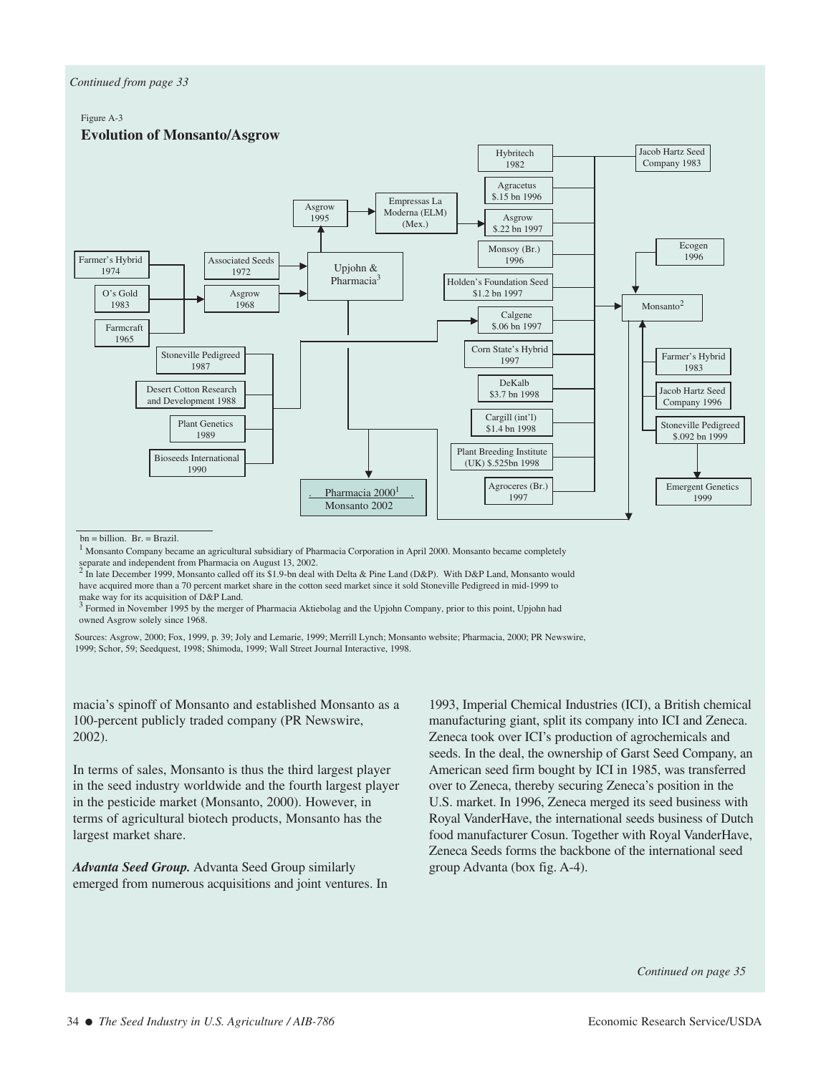### *Continued from page 33*

### Figure A-3



 $\overline{a}$  $bn = billion.$   $Br. = Brazil.$ 

<sup>1</sup> Monsanto Company became an agricultural subsidiary of Pharmacia Corporation in April 2000. Monsanto became completely separate and independent from Pharmacia on August 13, 2002.

<sup>2</sup> In late December 1999, Monsanto called off its \$1.9-bn deal with Delta & Pine Land (D&P). With D&P Land, Monsanto would have acquired more than a 70 percent market share in the cotton seed market since it sold Stoneville Pedigreed in mid-1999 to make way for its acquisition of D&P Land.

<sup>3</sup> Formed in November 1995 by the merger of Pharmacia Aktiebolag and the Upjohn Company, prior to this point, Upjohn had owned Asgrow solely since 1968.

Sources: Asgrow, 2000; Fox, 1999, p. 39; Joly and Lemarie, 1999; Merrill Lynch; Monsanto website; Pharmacia, 2000; PR Newswire, 1999; Schor, 59; Seedquest, 1998; Shimoda, 1999; Wall Street Journal Interactive, 1998.

macia's spinoff of Monsanto and established Monsanto as a 100-percent publicly traded company (PR Newswire, 2002).

In terms of sales, Monsanto is thus the third largest player in the seed industry worldwide and the fourth largest player in the pesticide market (Monsanto, 2000). However, in terms of agricultural biotech products, Monsanto has the largest market share.

*Advanta Seed Group.* Advanta Seed Group similarly emerged from numerous acquisitions and joint ventures. In

1993, Imperial Chemical Industries (ICI), a British chemical manufacturing giant, split its company into ICI and Zeneca. Zeneca took over ICI's production of agrochemicals and seeds. In the deal, the ownership of Garst Seed Company, an American seed firm bought by ICI in 1985, was transferred over to Zeneca, thereby securing Zeneca's position in the U.S. market. In 1996, Zeneca merged its seed business with Royal VanderHave, the international seeds business of Dutch food manufacturer Cosun. Together with Royal VanderHave, Zeneca Seeds forms the backbone of the international seed group Advanta (box fig. A-4).

*Continued on page 35*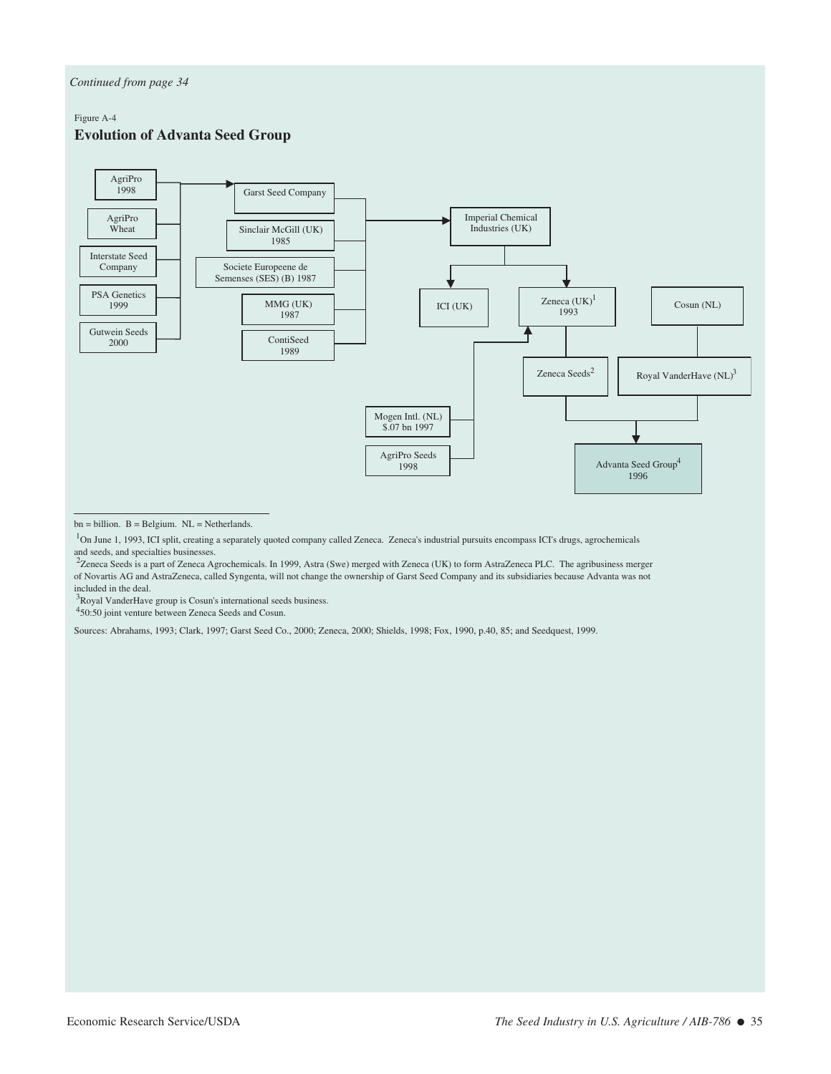#### Figure A-4

### **Evolution of Advanta Seed Group**



- $bn = billion.$  B = Belgium.  $NL = Netherlands.$
- <sup>1</sup>On June 1, 1993, ICI split, creating a separately quoted company called Zeneca. Zeneca's industrial pursuits encompass ICI's drugs, agrochemicals and seeds, and specialties businesses.
- <sup>2</sup>Zeneca Seeds is a part of Zeneca Agrochemicals. In 1999, Astra (Swe) merged with Zeneca (UK) to form AstraZeneca PLC. The agribusiness merger of Novartis AG and AstraZeneca, called Syngenta, will not change the ownership of Garst Seed Company and its subsidiaries because Advanta was not included in the deal.

<sup>3</sup>Royal VanderHave group is Cosun's international seeds business.

450:50 joint venture between Zeneca Seeds and Cosun.

Sources: Abrahams, 1993; Clark, 1997; Garst Seed Co., 2000; Zeneca, 2000; Shields, 1998; Fox, 1990, p.40, 85; and Seedquest, 1999.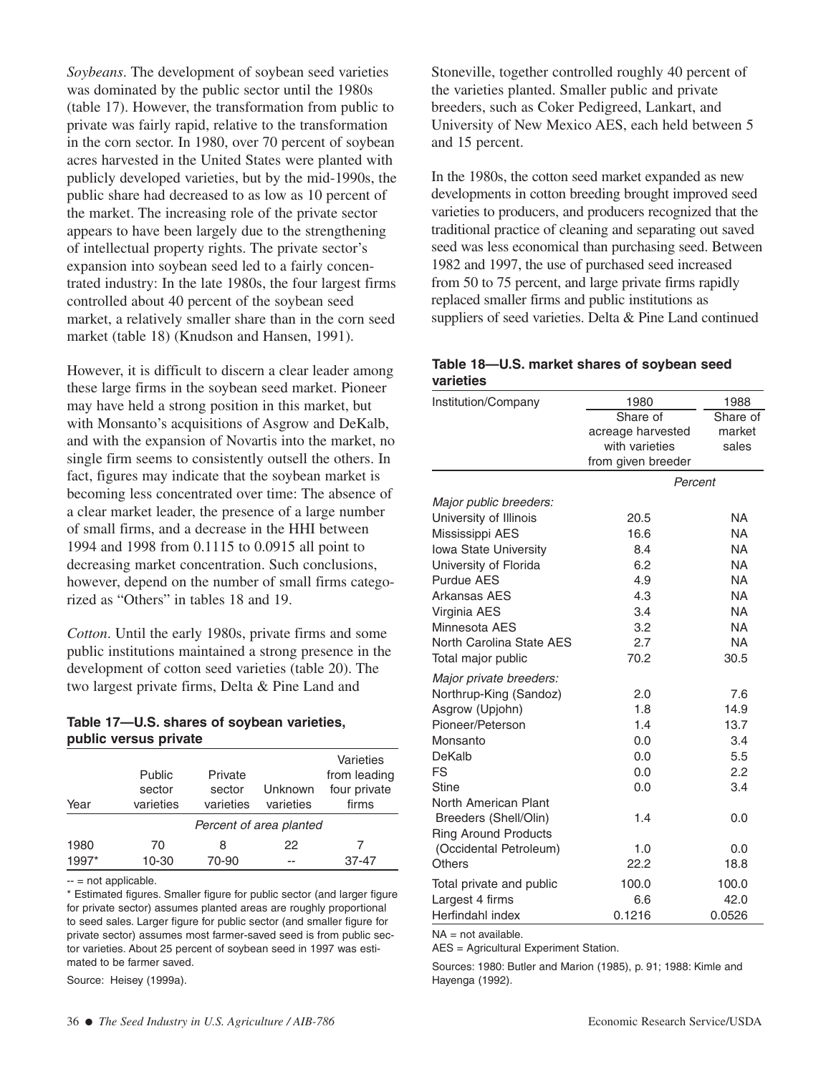*Soybeans*. The development of soybean seed varieties was dominated by the public sector until the 1980s (table 17). However, the transformation from public to private was fairly rapid, relative to the transformation in the corn sector. In 1980, over 70 percent of soybean acres harvested in the United States were planted with publicly developed varieties, but by the mid-1990s, the public share had decreased to as low as 10 percent of the market. The increasing role of the private sector appears to have been largely due to the strengthening of intellectual property rights. The private sector's expansion into soybean seed led to a fairly concentrated industry: In the late 1980s, the four largest firms controlled about 40 percent of the soybean seed market, a relatively smaller share than in the corn seed market (table 18) (Knudson and Hansen, 1991).

However, it is difficult to discern a clear leader among these large firms in the soybean seed market. Pioneer may have held a strong position in this market, but with Monsanto's acquisitions of Asgrow and DeKalb, and with the expansion of Novartis into the market, no single firm seems to consistently outsell the others. In fact, figures may indicate that the soybean market is becoming less concentrated over time: The absence of a clear market leader, the presence of a large number of small firms, and a decrease in the HHI between 1994 and 1998 from 0.1115 to 0.0915 all point to decreasing market concentration. Such conclusions, however, depend on the number of small firms categorized as "Others" in tables 18 and 19.

*Cotton*. Until the early 1980s, private firms and some public institutions maintained a strong presence in the development of cotton seed varieties (table 20). The two largest private firms, Delta & Pine Land and

## **Table 17—U.S. shares of soybean varieties, public versus private**

| Year  | Public<br>sector<br>varieties | Private<br>sector<br>varieties | Unknown<br>varieties    | Varieties<br>from leading<br>four private<br>firms |
|-------|-------------------------------|--------------------------------|-------------------------|----------------------------------------------------|
|       |                               |                                | Percent of area planted |                                                    |
| 1980  | 70                            | 8                              | 22                      |                                                    |
| 1997* | 10-30                         | 70-90                          | --                      | 37-47                                              |

 $-$  = not applicable.

\* Estimated figures. Smaller figure for public sector (and larger figure for private sector) assumes planted areas are roughly proportional to seed sales. Larger figure for public sector (and smaller figure for private sector) assumes most farmer-saved seed is from public sector varieties. About 25 percent of soybean seed in 1997 was estimated to be farmer saved.

Source: Heisey (1999a).

Stoneville, together controlled roughly 40 percent of the varieties planted. Smaller public and private breeders, such as Coker Pedigreed, Lankart, and University of New Mexico AES, each held between 5 and 15 percent.

In the 1980s, the cotton seed market expanded as new developments in cotton breeding brought improved seed varieties to producers, and producers recognized that the traditional practice of cleaning and separating out saved seed was less economical than purchasing seed. Between 1982 and 1997, the use of purchased seed increased from 50 to 75 percent, and large private firms rapidly replaced smaller firms and public institutions as suppliers of seed varieties. Delta & Pine Land continued

## **Table 18—U.S. market shares of soybean seed varieties**

| Institution/Company                                  | 1980               | 1988      |
|------------------------------------------------------|--------------------|-----------|
|                                                      | Share of           | Share of  |
|                                                      | acreage harvested  | market    |
|                                                      | with varieties     | sales     |
|                                                      | from given breeder |           |
|                                                      |                    | Percent   |
| Major public breeders:                               |                    |           |
| University of Illinois                               | 20.5               | NA        |
| Mississippi AES                                      | 16.6               | <b>NA</b> |
| Iowa State University                                | 8.4                | <b>NA</b> |
| University of Florida                                | 6.2                | <b>NA</b> |
| <b>Purdue AES</b>                                    | 4.9                | <b>NA</b> |
| Arkansas AES                                         | 4.3                | <b>NA</b> |
| Virginia AES                                         | 3.4                | <b>NA</b> |
| Minnesota AES                                        | 3.2                | <b>NA</b> |
| North Carolina State AES                             | 2.7                | <b>NA</b> |
| Total major public                                   | 70.2               | 30.5      |
| Major private breeders:                              |                    |           |
| Northrup-King (Sandoz)                               | 2.0                | 7.6       |
| Asgrow (Upjohn)                                      | 1.8                | 14.9      |
| Pioneer/Peterson                                     | 1.4                | 13.7      |
| Monsanto                                             | 0.0                | 3.4       |
| DeKalb                                               | 0.0                | 5.5       |
| FS                                                   | 0.0                | 2.2       |
| Stine                                                | 0.0                | 3.4       |
| North American Plant                                 | 1.4                | 0.0       |
| Breeders (Shell/Olin)<br><b>Ring Around Products</b> |                    |           |
| (Occidental Petroleum)                               | 1.0                | 0.0       |
| Others                                               | 22.2               | 18.8      |
|                                                      |                    |           |
| Total private and public                             | 100.0              | 100.0     |
| Largest 4 firms                                      | 6.6                | 42.0      |
| Herfindahl index                                     | 0.1216             | 0.0526    |

NA = not available.

AES = Agricultural Experiment Station.

Sources: 1980: Butler and Marion (1985), p. 91; 1988: Kimle and Hayenga (1992).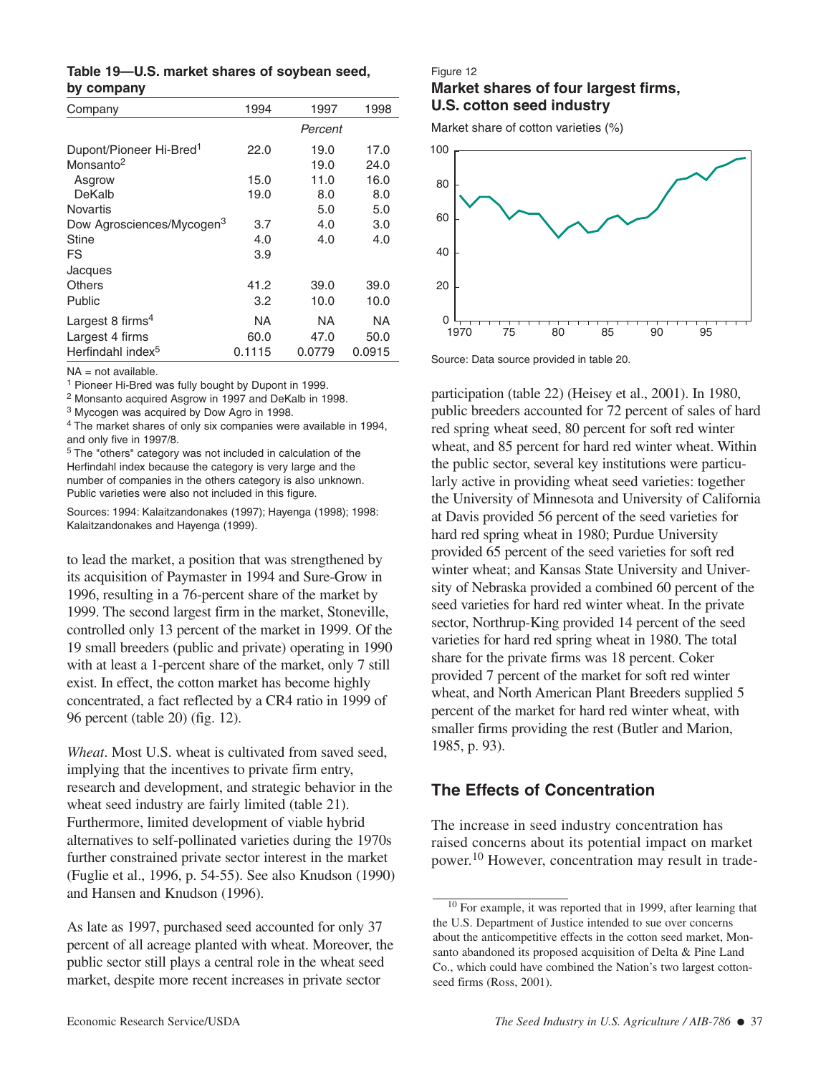|  |            |  | Table 19-U.S. market shares of soybean seed, |  |
|--|------------|--|----------------------------------------------|--|
|  | by company |  |                                              |  |

| Company                               | 1994   | 1997    | 1998   |
|---------------------------------------|--------|---------|--------|
|                                       |        | Percent |        |
| Dupont/Pioneer Hi-Bred <sup>1</sup>   | 22.0   | 19.0    | 17.0   |
| Monsanto <sup>2</sup>                 |        | 19.0    | 24.0   |
| Asgrow                                | 15.0   | 11.0    | 16.0   |
| DeKalb                                | 19.0   | 8.0     | 8.0    |
| <b>Novartis</b>                       |        | 5.0     | 5.0    |
| Dow Agrosciences/Mycogen <sup>3</sup> | 3.7    | 4.0     | 3.0    |
| Stine                                 | 4.0    | 4.0     | 4.0    |
| FS                                    | 3.9    |         |        |
| Jacques                               |        |         |        |
| <b>Others</b>                         | 41.2   | 39.0    | 39.0   |
| Public                                | 3.2    | 10.0    | 10.0   |
| Largest 8 firms <sup>4</sup>          | NA     | NA      | NA     |
| Largest 4 firms                       | 60.0   | 47.0    | 50.0   |
| Herfindahl index <sup>5</sup>         | 0.1115 | 0.0779  | 0.0915 |

NA = not available.

<sup>1</sup> Pioneer Hi-Bred was fully bought by Dupont in 1999.

<sup>2</sup> Monsanto acquired Asgrow in 1997 and DeKalb in 1998.

<sup>3</sup> Mycogen was acquired by Dow Agro in 1998.

<sup>4</sup> The market shares of only six companies were available in 1994, and only five in 1997/8.

<sup>5</sup> The "others" category was not included in calculation of the Herfindahl index because the category is very large and the number of companies in the others category is also unknown. Public varieties were also not included in this figure.

Sources: 1994: Kalaitzandonakes (1997); Hayenga (1998); 1998: Kalaitzandonakes and Hayenga (1999).

to lead the market, a position that was strengthened by its acquisition of Paymaster in 1994 and Sure-Grow in 1996, resulting in a 76-percent share of the market by 1999. The second largest firm in the market, Stoneville, controlled only 13 percent of the market in 1999. Of the 19 small breeders (public and private) operating in 1990 with at least a 1-percent share of the market, only 7 still exist. In effect, the cotton market has become highly concentrated, a fact reflected by a CR4 ratio in 1999 of 96 percent (table 20) (fig. 12).

*Wheat*. Most U.S. wheat is cultivated from saved seed. implying that the incentives to private firm entry, research and development, and strategic behavior in the wheat seed industry are fairly limited (table 21). Furthermore, limited development of viable hybrid alternatives to self-pollinated varieties during the 1970s further constrained private sector interest in the market (Fuglie et al., 1996, p. 54-55). See also Knudson (1990) and Hansen and Knudson (1996).

As late as 1997, purchased seed accounted for only 37 percent of all acreage planted with wheat. Moreover, the public sector still plays a central role in the wheat seed market, despite more recent increases in private sector

### Figure 12

## **Market shares of four largest firms, U.S. cotton seed industry**

Market share of cotton varieties (%)



Source: Data source provided in table 20.

participation (table 22) (Heisey et al., 2001). In 1980, public breeders accounted for 72 percent of sales of hard red spring wheat seed, 80 percent for soft red winter wheat, and 85 percent for hard red winter wheat. Within the public sector, several key institutions were particularly active in providing wheat seed varieties: together the University of Minnesota and University of California at Davis provided 56 percent of the seed varieties for hard red spring wheat in 1980; Purdue University provided 65 percent of the seed varieties for soft red winter wheat; and Kansas State University and University of Nebraska provided a combined 60 percent of the seed varieties for hard red winter wheat. In the private sector, Northrup-King provided 14 percent of the seed varieties for hard red spring wheat in 1980. The total share for the private firms was 18 percent. Coker provided 7 percent of the market for soft red winter wheat, and North American Plant Breeders supplied 5 percent of the market for hard red winter wheat, with smaller firms providing the rest (Butler and Marion, 1985, p. 93).

# **The Effects of Concentration**

The increase in seed industry concentration has raised concerns about its potential impact on market power.<sup>10</sup> However, concentration may result in trade-

<sup>10</sup> For example, it was reported that in 1999, after learning that the U.S. Department of Justice intended to sue over concerns about the anticompetitive effects in the cotton seed market, Monsanto abandoned its proposed acquisition of Delta & Pine Land Co., which could have combined the Nation's two largest cottonseed firms (Ross, 2001).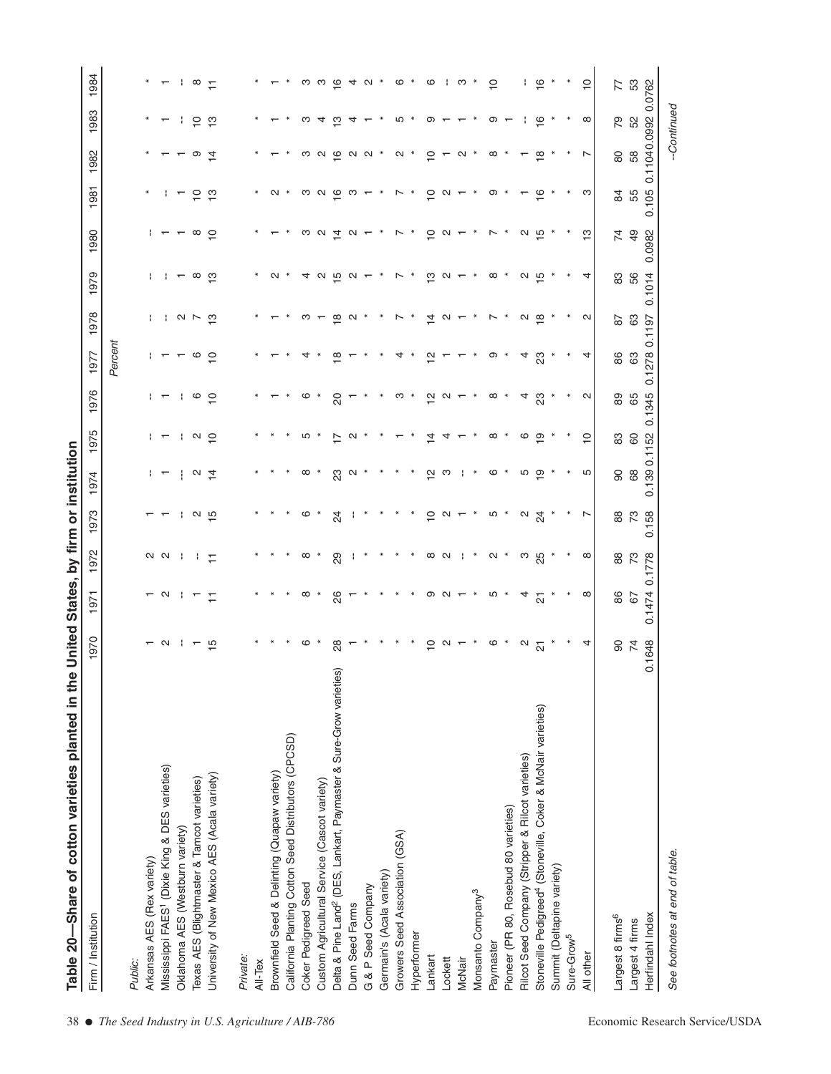| $\overline{\phantom{a}}$                                 |
|----------------------------------------------------------|
|                                                          |
|                                                          |
|                                                          |
| <b>FINNA AN IAA'</b><br>$\sum_{i=1}^{n}$                 |
| :<br>;                                                   |
| ;;<br>}                                                  |
|                                                          |
|                                                          |
|                                                          |
| <b>SHIP DIRECT IS NEW YORK AND THE SAME OF THE STATE</b> |
| į                                                        |
| ַ<br>.                                                   |
|                                                          |
| D<br>DID<br> <br>i<br>!                                  |
| å<br>$\frac{1}{2}$                                       |

| $\star$<br>$\overline{\mathsf{e}}^*$<br>$\frac{1}{2}$ $\infty$ $\frac{1}{2}$<br>$\circ$ $^*$<br>က<br>$\subseteq$<br>0.11040.09920.0762<br>က က ပ္က<br>$40*$<br>ဖ<br>-11<br>77<br>52<br>79<br>ှာ<br>ၜ<br>$\infty$<br>$\tilde{c}$<br>ო<br>ო<br>ယ<br>ၜ<br>$\tilde{\epsilon}$<br>- 11<br>4<br>$\overline{ }$<br>$\overline{ }$<br>58<br>$\rm 80$<br>$N$ $N$ $*$<br>$N^*$<br>$\overline{C}$<br>$\frac{\infty}{2}$<br>ာ<br>$\overline{4}$<br>က လ ဖ<br>$ \alpha$ $*$<br>$\infty$ $*$<br>$\overline{ }$<br>$\overline{ }$<br>$\overline{\phantom{0}}$<br>55<br>$\omega$ $\sigma$ $\sigma$ $\omega$ $\sim$<br>က<br>$\overline{C}$<br>ှာ<br>$\sim$<br>$\ast$<br>$\sim$ $^*$<br>$\tilde{c}$<br>$\sim$ $-$<br>ၜ<br>$\tilde{\epsilon}$<br>$\overline{8}$<br>$\overline{a}$<br>$\overline{\phantom{0}}$<br>$\frac{1}{2}$<br>$\frac{1}{2}$<br>$\overline{7}$<br>$\frac{6}{3}$<br>$\infty$<br>$\omega$ $\sigma$ $\vec{\sigma}$<br>$\sim$ $-$<br>$\tilde{=}$<br>$\sim$<br>a ro<br>$\mathbf{r}$<br>$\overline{ }$<br>56<br>0.1014<br>$1 + \infty$ $\infty$<br>$4$ $\omega$ $\omega$ $\omega$ $ *$<br>ှာ<br>$\infty$<br>u ro<br>83<br>$\sim$<br>$\sim$ $^*$<br>$\sim$ $-$<br>$\star$<br>$\star$<br>4<br>63<br>$\frac{\infty}{1}$ $\sim$ *<br>$\sim$ $*$<br>$\star$<br>$\alpha$ $\frac{\infty}{2}$ *<br>$\sim$<br>0.1197<br>ო –<br>$\overline{4}$<br>$\sim$ $-$<br>28<br>$\sim$<br>Percent<br>0.1278<br>යි<br>$\circ$ 0<br>4<br>86<br>≌<br>ၜ<br>4<br>ಔ<br>$\overline{ }$<br>4<br>↴<br>은<br>65<br>ု စ ဥ<br>$\sim$<br>89<br>ဖ<br>$\overline{c}$<br>ო *<br>$\frac{1}{2}$<br>$\sim$<br>$\infty$<br>4<br>ಔ<br>$\vdash$<br>$1 - 192$<br>$\overline{C}$<br>83<br>60<br>ທ ∗<br>F<br>$\sim$ $*$<br>≠<br>$\infty$<br>ဖ<br>ာ<br>$\overline{\phantom{0}}$<br>4<br>89<br>÷<br>$\alpha \neq$<br>ಔ<br>$\sim$<br>$\ast$<br>$\ast$<br>은<br>ဖ<br>$\ast$<br>Ю<br>$\overline{6}$<br>$\infty$<br>ო<br>ഥ<br>ာ<br>$\mathbf{r}$<br>$_{88}$<br>73<br>$\frac{1}{2}$ $\alpha$ $\frac{1}{2}$<br>$\overline{C}$<br>ທ ∗<br>$\sim \frac{4}{2}$<br>ဖ<br>24<br>$\sim$<br>$\overline{ }$<br>$\mathbf$<br>N N     H<br>$\infty$<br>$N$ $*$<br>ო<br>გე<br>$\infty$<br>73<br>0.1778<br>29<br>$\sim$<br>88<br>$\infty$<br>$\circ$ $\circ$ $\circ$ $\circ$ $\circ$<br>Ю<br>$\star$<br>$\infty$<br>86<br>$\sim$ $\sim$<br>$\infty$<br>26<br>$\ast$<br>4<br>$\overline{r}$<br>$\overline{\Omega}$<br>67<br>$\rm 90$<br>$\overline{7}$<br>$\frac{15}{2}$<br>ဖ<br>$^{8}$<br>$\overline{C}$<br>ဖ<br>$\sim \frac{1}{\alpha}$<br>4<br>$\sim$ 1<br>$\sim$ $-$<br>$\overline{ }$<br>Delta & Pine Land <sup>2</sup> (DES, Lankart, Paymaster & Sure-Grow varieties)<br>Stoneville Pedigreed <sup>4</sup> (Stoneville, Coker & McNair varieties)<br>California Planting Cotton Seed Distributors (CPCSD)<br>Rilcot Seed Company (Stripper & Rilcot varieties)<br>Mississippi FAES <sup>1</sup> (Dixie King & DES varieties)<br>Brownfield Seed & Delinting (Quapaw variety)<br>University of New Mexico AES (Acala variety)<br>Texas AES (Blightmaster & Tamcot varieties)<br>Custom Agricultural Service (Cascot variety)<br>Pioneer (PR 80, Rosebud 80 varieties)<br>Oklahoma AES (Westburn variety)<br>Growers Seed Association (GSA)<br>Arkansas AES (Rex variety)<br>Summit (Deltapine variety)<br>Germain's (Acala variety)<br>Coker Pedigreed Seed<br>G & P Seed Company<br>Monsanto Company <sup>3</sup><br>Dunn Seed Farms<br>Largest 8 firms <sup>6</sup><br>Largest 4 firms<br>Hyperformer<br>Sure-Grow <sup>5</sup><br>Paymaster<br>All other<br>Lankart<br>Private:<br>Lockett<br><b>McNair</b><br>All-Tex<br>Public: | -Continued<br>0.105<br>0.0982<br>0.1345<br>0.139 0.1152<br>0.158<br>0.1474<br>0.1648<br>See footnotes at end of table.<br>Herfindahl Index | Firm / Institution | 970 | 50 | 972 | 973 | 1974 | 1975 | 1976 | 1977 | 1978 | 1979 | 1980 | 981<br>$\mathbf -$ | 1982 | 983<br>$\overline{\phantom{0}}$ | 1984           |
|-------------------------------------------------------------------------------------------------------------------------------------------------------------------------------------------------------------------------------------------------------------------------------------------------------------------------------------------------------------------------------------------------------------------------------------------------------------------------------------------------------------------------------------------------------------------------------------------------------------------------------------------------------------------------------------------------------------------------------------------------------------------------------------------------------------------------------------------------------------------------------------------------------------------------------------------------------------------------------------------------------------------------------------------------------------------------------------------------------------------------------------------------------------------------------------------------------------------------------------------------------------------------------------------------------------------------------------------------------------------------------------------------------------------------------------------------------------------------------------------------------------------------------------------------------------------------------------------------------------------------------------------------------------------------------------------------------------------------------------------------------------------------------------------------------------------------------------------------------------------------------------------------------------------------------------------------------------------------------------------------------------------------------------------------------------------------------------------------------------------------------------------------------------------------------------------------------------------------------------------------------------------------------------------------------------------------------------------------------------------------------------------------------------------------------------------------------------------------------------------------------------------------------------------------------------------------------------------------------------------------------------------------------------------------------------------------------------------------------------------------------------------------------------------------------------------------------------------------------------------------------------------------------------------------------------------------------------------------------------------------------------------------------------------------------------------------------------------------------------------------------------------------------------------------------------------------------------------------------------------------------------------------------------------------------------------------------------------------------------------------------------------------------------------------------------------------------------------------------------------------------------------------------------------------------------|--------------------------------------------------------------------------------------------------------------------------------------------|--------------------|-----|----|-----|-----|------|------|------|------|------|------|------|--------------------|------|---------------------------------|----------------|
|                                                                                                                                                                                                                                                                                                                                                                                                                                                                                                                                                                                                                                                                                                                                                                                                                                                                                                                                                                                                                                                                                                                                                                                                                                                                                                                                                                                                                                                                                                                                                                                                                                                                                                                                                                                                                                                                                                                                                                                                                                                                                                                                                                                                                                                                                                                                                                                                                                                                                                                                                                                                                                                                                                                                                                                                                                                                                                                                                                                                                                                                                                                                                                                                                                                                                                                                                                                                                                                                                                                                                             |                                                                                                                                            |                    |     |    |     |     |      |      |      |      |      |      |      |                    |      |                                 |                |
|                                                                                                                                                                                                                                                                                                                                                                                                                                                                                                                                                                                                                                                                                                                                                                                                                                                                                                                                                                                                                                                                                                                                                                                                                                                                                                                                                                                                                                                                                                                                                                                                                                                                                                                                                                                                                                                                                                                                                                                                                                                                                                                                                                                                                                                                                                                                                                                                                                                                                                                                                                                                                                                                                                                                                                                                                                                                                                                                                                                                                                                                                                                                                                                                                                                                                                                                                                                                                                                                                                                                                             |                                                                                                                                            |                    |     |    |     |     |      |      |      |      |      |      |      |                    |      |                                 |                |
|                                                                                                                                                                                                                                                                                                                                                                                                                                                                                                                                                                                                                                                                                                                                                                                                                                                                                                                                                                                                                                                                                                                                                                                                                                                                                                                                                                                                                                                                                                                                                                                                                                                                                                                                                                                                                                                                                                                                                                                                                                                                                                                                                                                                                                                                                                                                                                                                                                                                                                                                                                                                                                                                                                                                                                                                                                                                                                                                                                                                                                                                                                                                                                                                                                                                                                                                                                                                                                                                                                                                                             |                                                                                                                                            |                    |     |    |     |     |      |      |      |      |      |      |      |                    |      |                                 |                |
|                                                                                                                                                                                                                                                                                                                                                                                                                                                                                                                                                                                                                                                                                                                                                                                                                                                                                                                                                                                                                                                                                                                                                                                                                                                                                                                                                                                                                                                                                                                                                                                                                                                                                                                                                                                                                                                                                                                                                                                                                                                                                                                                                                                                                                                                                                                                                                                                                                                                                                                                                                                                                                                                                                                                                                                                                                                                                                                                                                                                                                                                                                                                                                                                                                                                                                                                                                                                                                                                                                                                                             |                                                                                                                                            |                    |     |    |     |     |      |      |      |      |      |      |      |                    |      |                                 |                |
|                                                                                                                                                                                                                                                                                                                                                                                                                                                                                                                                                                                                                                                                                                                                                                                                                                                                                                                                                                                                                                                                                                                                                                                                                                                                                                                                                                                                                                                                                                                                                                                                                                                                                                                                                                                                                                                                                                                                                                                                                                                                                                                                                                                                                                                                                                                                                                                                                                                                                                                                                                                                                                                                                                                                                                                                                                                                                                                                                                                                                                                                                                                                                                                                                                                                                                                                                                                                                                                                                                                                                             |                                                                                                                                            |                    |     |    |     |     |      |      |      |      |      |      |      |                    |      |                                 |                |
|                                                                                                                                                                                                                                                                                                                                                                                                                                                                                                                                                                                                                                                                                                                                                                                                                                                                                                                                                                                                                                                                                                                                                                                                                                                                                                                                                                                                                                                                                                                                                                                                                                                                                                                                                                                                                                                                                                                                                                                                                                                                                                                                                                                                                                                                                                                                                                                                                                                                                                                                                                                                                                                                                                                                                                                                                                                                                                                                                                                                                                                                                                                                                                                                                                                                                                                                                                                                                                                                                                                                                             |                                                                                                                                            |                    |     |    |     |     |      |      |      |      |      |      |      |                    |      |                                 |                |
|                                                                                                                                                                                                                                                                                                                                                                                                                                                                                                                                                                                                                                                                                                                                                                                                                                                                                                                                                                                                                                                                                                                                                                                                                                                                                                                                                                                                                                                                                                                                                                                                                                                                                                                                                                                                                                                                                                                                                                                                                                                                                                                                                                                                                                                                                                                                                                                                                                                                                                                                                                                                                                                                                                                                                                                                                                                                                                                                                                                                                                                                                                                                                                                                                                                                                                                                                                                                                                                                                                                                                             |                                                                                                                                            |                    |     |    |     |     |      |      |      |      |      |      |      |                    |      |                                 |                |
|                                                                                                                                                                                                                                                                                                                                                                                                                                                                                                                                                                                                                                                                                                                                                                                                                                                                                                                                                                                                                                                                                                                                                                                                                                                                                                                                                                                                                                                                                                                                                                                                                                                                                                                                                                                                                                                                                                                                                                                                                                                                                                                                                                                                                                                                                                                                                                                                                                                                                                                                                                                                                                                                                                                                                                                                                                                                                                                                                                                                                                                                                                                                                                                                                                                                                                                                                                                                                                                                                                                                                             |                                                                                                                                            |                    |     |    |     |     |      |      |      |      |      |      |      |                    |      |                                 |                |
|                                                                                                                                                                                                                                                                                                                                                                                                                                                                                                                                                                                                                                                                                                                                                                                                                                                                                                                                                                                                                                                                                                                                                                                                                                                                                                                                                                                                                                                                                                                                                                                                                                                                                                                                                                                                                                                                                                                                                                                                                                                                                                                                                                                                                                                                                                                                                                                                                                                                                                                                                                                                                                                                                                                                                                                                                                                                                                                                                                                                                                                                                                                                                                                                                                                                                                                                                                                                                                                                                                                                                             |                                                                                                                                            |                    |     |    |     |     |      |      |      |      |      |      |      |                    |      |                                 |                |
|                                                                                                                                                                                                                                                                                                                                                                                                                                                                                                                                                                                                                                                                                                                                                                                                                                                                                                                                                                                                                                                                                                                                                                                                                                                                                                                                                                                                                                                                                                                                                                                                                                                                                                                                                                                                                                                                                                                                                                                                                                                                                                                                                                                                                                                                                                                                                                                                                                                                                                                                                                                                                                                                                                                                                                                                                                                                                                                                                                                                                                                                                                                                                                                                                                                                                                                                                                                                                                                                                                                                                             |                                                                                                                                            |                    |     |    |     |     |      |      |      |      |      |      |      |                    |      |                                 |                |
|                                                                                                                                                                                                                                                                                                                                                                                                                                                                                                                                                                                                                                                                                                                                                                                                                                                                                                                                                                                                                                                                                                                                                                                                                                                                                                                                                                                                                                                                                                                                                                                                                                                                                                                                                                                                                                                                                                                                                                                                                                                                                                                                                                                                                                                                                                                                                                                                                                                                                                                                                                                                                                                                                                                                                                                                                                                                                                                                                                                                                                                                                                                                                                                                                                                                                                                                                                                                                                                                                                                                                             |                                                                                                                                            |                    |     |    |     |     |      |      |      |      |      |      |      |                    |      |                                 |                |
|                                                                                                                                                                                                                                                                                                                                                                                                                                                                                                                                                                                                                                                                                                                                                                                                                                                                                                                                                                                                                                                                                                                                                                                                                                                                                                                                                                                                                                                                                                                                                                                                                                                                                                                                                                                                                                                                                                                                                                                                                                                                                                                                                                                                                                                                                                                                                                                                                                                                                                                                                                                                                                                                                                                                                                                                                                                                                                                                                                                                                                                                                                                                                                                                                                                                                                                                                                                                                                                                                                                                                             |                                                                                                                                            |                    |     |    |     |     |      |      |      |      |      |      |      |                    |      |                                 |                |
|                                                                                                                                                                                                                                                                                                                                                                                                                                                                                                                                                                                                                                                                                                                                                                                                                                                                                                                                                                                                                                                                                                                                                                                                                                                                                                                                                                                                                                                                                                                                                                                                                                                                                                                                                                                                                                                                                                                                                                                                                                                                                                                                                                                                                                                                                                                                                                                                                                                                                                                                                                                                                                                                                                                                                                                                                                                                                                                                                                                                                                                                                                                                                                                                                                                                                                                                                                                                                                                                                                                                                             |                                                                                                                                            |                    |     |    |     |     |      |      |      |      |      |      |      |                    |      |                                 |                |
|                                                                                                                                                                                                                                                                                                                                                                                                                                                                                                                                                                                                                                                                                                                                                                                                                                                                                                                                                                                                                                                                                                                                                                                                                                                                                                                                                                                                                                                                                                                                                                                                                                                                                                                                                                                                                                                                                                                                                                                                                                                                                                                                                                                                                                                                                                                                                                                                                                                                                                                                                                                                                                                                                                                                                                                                                                                                                                                                                                                                                                                                                                                                                                                                                                                                                                                                                                                                                                                                                                                                                             |                                                                                                                                            |                    |     |    |     |     |      |      |      |      |      |      |      |                    |      |                                 |                |
|                                                                                                                                                                                                                                                                                                                                                                                                                                                                                                                                                                                                                                                                                                                                                                                                                                                                                                                                                                                                                                                                                                                                                                                                                                                                                                                                                                                                                                                                                                                                                                                                                                                                                                                                                                                                                                                                                                                                                                                                                                                                                                                                                                                                                                                                                                                                                                                                                                                                                                                                                                                                                                                                                                                                                                                                                                                                                                                                                                                                                                                                                                                                                                                                                                                                                                                                                                                                                                                                                                                                                             |                                                                                                                                            |                    |     |    |     |     |      |      |      |      |      |      |      |                    |      |                                 |                |
|                                                                                                                                                                                                                                                                                                                                                                                                                                                                                                                                                                                                                                                                                                                                                                                                                                                                                                                                                                                                                                                                                                                                                                                                                                                                                                                                                                                                                                                                                                                                                                                                                                                                                                                                                                                                                                                                                                                                                                                                                                                                                                                                                                                                                                                                                                                                                                                                                                                                                                                                                                                                                                                                                                                                                                                                                                                                                                                                                                                                                                                                                                                                                                                                                                                                                                                                                                                                                                                                                                                                                             |                                                                                                                                            |                    |     |    |     |     |      |      |      |      |      |      |      |                    |      |                                 |                |
|                                                                                                                                                                                                                                                                                                                                                                                                                                                                                                                                                                                                                                                                                                                                                                                                                                                                                                                                                                                                                                                                                                                                                                                                                                                                                                                                                                                                                                                                                                                                                                                                                                                                                                                                                                                                                                                                                                                                                                                                                                                                                                                                                                                                                                                                                                                                                                                                                                                                                                                                                                                                                                                                                                                                                                                                                                                                                                                                                                                                                                                                                                                                                                                                                                                                                                                                                                                                                                                                                                                                                             |                                                                                                                                            |                    |     |    |     |     |      |      |      |      |      |      |      |                    |      |                                 |                |
|                                                                                                                                                                                                                                                                                                                                                                                                                                                                                                                                                                                                                                                                                                                                                                                                                                                                                                                                                                                                                                                                                                                                                                                                                                                                                                                                                                                                                                                                                                                                                                                                                                                                                                                                                                                                                                                                                                                                                                                                                                                                                                                                                                                                                                                                                                                                                                                                                                                                                                                                                                                                                                                                                                                                                                                                                                                                                                                                                                                                                                                                                                                                                                                                                                                                                                                                                                                                                                                                                                                                                             |                                                                                                                                            |                    |     |    |     |     |      |      |      |      |      |      |      |                    |      |                                 |                |
|                                                                                                                                                                                                                                                                                                                                                                                                                                                                                                                                                                                                                                                                                                                                                                                                                                                                                                                                                                                                                                                                                                                                                                                                                                                                                                                                                                                                                                                                                                                                                                                                                                                                                                                                                                                                                                                                                                                                                                                                                                                                                                                                                                                                                                                                                                                                                                                                                                                                                                                                                                                                                                                                                                                                                                                                                                                                                                                                                                                                                                                                                                                                                                                                                                                                                                                                                                                                                                                                                                                                                             |                                                                                                                                            |                    |     |    |     |     |      |      |      |      |      |      |      |                    |      |                                 |                |
|                                                                                                                                                                                                                                                                                                                                                                                                                                                                                                                                                                                                                                                                                                                                                                                                                                                                                                                                                                                                                                                                                                                                                                                                                                                                                                                                                                                                                                                                                                                                                                                                                                                                                                                                                                                                                                                                                                                                                                                                                                                                                                                                                                                                                                                                                                                                                                                                                                                                                                                                                                                                                                                                                                                                                                                                                                                                                                                                                                                                                                                                                                                                                                                                                                                                                                                                                                                                                                                                                                                                                             |                                                                                                                                            |                    |     |    |     |     |      |      |      |      |      |      |      |                    |      |                                 |                |
|                                                                                                                                                                                                                                                                                                                                                                                                                                                                                                                                                                                                                                                                                                                                                                                                                                                                                                                                                                                                                                                                                                                                                                                                                                                                                                                                                                                                                                                                                                                                                                                                                                                                                                                                                                                                                                                                                                                                                                                                                                                                                                                                                                                                                                                                                                                                                                                                                                                                                                                                                                                                                                                                                                                                                                                                                                                                                                                                                                                                                                                                                                                                                                                                                                                                                                                                                                                                                                                                                                                                                             |                                                                                                                                            |                    |     |    |     |     |      |      |      |      |      |      |      |                    |      |                                 |                |
|                                                                                                                                                                                                                                                                                                                                                                                                                                                                                                                                                                                                                                                                                                                                                                                                                                                                                                                                                                                                                                                                                                                                                                                                                                                                                                                                                                                                                                                                                                                                                                                                                                                                                                                                                                                                                                                                                                                                                                                                                                                                                                                                                                                                                                                                                                                                                                                                                                                                                                                                                                                                                                                                                                                                                                                                                                                                                                                                                                                                                                                                                                                                                                                                                                                                                                                                                                                                                                                                                                                                                             |                                                                                                                                            |                    |     |    |     |     |      |      |      |      |      |      |      |                    |      |                                 |                |
|                                                                                                                                                                                                                                                                                                                                                                                                                                                                                                                                                                                                                                                                                                                                                                                                                                                                                                                                                                                                                                                                                                                                                                                                                                                                                                                                                                                                                                                                                                                                                                                                                                                                                                                                                                                                                                                                                                                                                                                                                                                                                                                                                                                                                                                                                                                                                                                                                                                                                                                                                                                                                                                                                                                                                                                                                                                                                                                                                                                                                                                                                                                                                                                                                                                                                                                                                                                                                                                                                                                                                             |                                                                                                                                            |                    |     |    |     |     |      |      |      |      |      |      |      |                    |      |                                 |                |
|                                                                                                                                                                                                                                                                                                                                                                                                                                                                                                                                                                                                                                                                                                                                                                                                                                                                                                                                                                                                                                                                                                                                                                                                                                                                                                                                                                                                                                                                                                                                                                                                                                                                                                                                                                                                                                                                                                                                                                                                                                                                                                                                                                                                                                                                                                                                                                                                                                                                                                                                                                                                                                                                                                                                                                                                                                                                                                                                                                                                                                                                                                                                                                                                                                                                                                                                                                                                                                                                                                                                                             |                                                                                                                                            |                    |     |    |     |     |      |      |      |      |      |      |      |                    |      |                                 |                |
|                                                                                                                                                                                                                                                                                                                                                                                                                                                                                                                                                                                                                                                                                                                                                                                                                                                                                                                                                                                                                                                                                                                                                                                                                                                                                                                                                                                                                                                                                                                                                                                                                                                                                                                                                                                                                                                                                                                                                                                                                                                                                                                                                                                                                                                                                                                                                                                                                                                                                                                                                                                                                                                                                                                                                                                                                                                                                                                                                                                                                                                                                                                                                                                                                                                                                                                                                                                                                                                                                                                                                             |                                                                                                                                            |                    |     |    |     |     |      |      |      |      |      |      |      |                    |      |                                 |                |
|                                                                                                                                                                                                                                                                                                                                                                                                                                                                                                                                                                                                                                                                                                                                                                                                                                                                                                                                                                                                                                                                                                                                                                                                                                                                                                                                                                                                                                                                                                                                                                                                                                                                                                                                                                                                                                                                                                                                                                                                                                                                                                                                                                                                                                                                                                                                                                                                                                                                                                                                                                                                                                                                                                                                                                                                                                                                                                                                                                                                                                                                                                                                                                                                                                                                                                                                                                                                                                                                                                                                                             |                                                                                                                                            |                    |     |    |     |     |      |      |      |      |      |      |      |                    |      |                                 |                |
|                                                                                                                                                                                                                                                                                                                                                                                                                                                                                                                                                                                                                                                                                                                                                                                                                                                                                                                                                                                                                                                                                                                                                                                                                                                                                                                                                                                                                                                                                                                                                                                                                                                                                                                                                                                                                                                                                                                                                                                                                                                                                                                                                                                                                                                                                                                                                                                                                                                                                                                                                                                                                                                                                                                                                                                                                                                                                                                                                                                                                                                                                                                                                                                                                                                                                                                                                                                                                                                                                                                                                             |                                                                                                                                            |                    |     |    |     |     |      |      |      |      |      |      |      |                    |      |                                 |                |
|                                                                                                                                                                                                                                                                                                                                                                                                                                                                                                                                                                                                                                                                                                                                                                                                                                                                                                                                                                                                                                                                                                                                                                                                                                                                                                                                                                                                                                                                                                                                                                                                                                                                                                                                                                                                                                                                                                                                                                                                                                                                                                                                                                                                                                                                                                                                                                                                                                                                                                                                                                                                                                                                                                                                                                                                                                                                                                                                                                                                                                                                                                                                                                                                                                                                                                                                                                                                                                                                                                                                                             |                                                                                                                                            |                    |     |    |     |     |      |      |      |      |      |      |      |                    |      |                                 |                |
|                                                                                                                                                                                                                                                                                                                                                                                                                                                                                                                                                                                                                                                                                                                                                                                                                                                                                                                                                                                                                                                                                                                                                                                                                                                                                                                                                                                                                                                                                                                                                                                                                                                                                                                                                                                                                                                                                                                                                                                                                                                                                                                                                                                                                                                                                                                                                                                                                                                                                                                                                                                                                                                                                                                                                                                                                                                                                                                                                                                                                                                                                                                                                                                                                                                                                                                                                                                                                                                                                                                                                             |                                                                                                                                            |                    |     |    |     |     |      |      |      |      |      |      |      |                    |      |                                 |                |
|                                                                                                                                                                                                                                                                                                                                                                                                                                                                                                                                                                                                                                                                                                                                                                                                                                                                                                                                                                                                                                                                                                                                                                                                                                                                                                                                                                                                                                                                                                                                                                                                                                                                                                                                                                                                                                                                                                                                                                                                                                                                                                                                                                                                                                                                                                                                                                                                                                                                                                                                                                                                                                                                                                                                                                                                                                                                                                                                                                                                                                                                                                                                                                                                                                                                                                                                                                                                                                                                                                                                                             |                                                                                                                                            |                    |     |    |     |     |      |      |      |      |      |      |      |                    |      |                                 | $\overline{C}$ |
|                                                                                                                                                                                                                                                                                                                                                                                                                                                                                                                                                                                                                                                                                                                                                                                                                                                                                                                                                                                                                                                                                                                                                                                                                                                                                                                                                                                                                                                                                                                                                                                                                                                                                                                                                                                                                                                                                                                                                                                                                                                                                                                                                                                                                                                                                                                                                                                                                                                                                                                                                                                                                                                                                                                                                                                                                                                                                                                                                                                                                                                                                                                                                                                                                                                                                                                                                                                                                                                                                                                                                             |                                                                                                                                            |                    |     |    |     |     |      |      |      |      |      |      |      |                    |      |                                 |                |
|                                                                                                                                                                                                                                                                                                                                                                                                                                                                                                                                                                                                                                                                                                                                                                                                                                                                                                                                                                                                                                                                                                                                                                                                                                                                                                                                                                                                                                                                                                                                                                                                                                                                                                                                                                                                                                                                                                                                                                                                                                                                                                                                                                                                                                                                                                                                                                                                                                                                                                                                                                                                                                                                                                                                                                                                                                                                                                                                                                                                                                                                                                                                                                                                                                                                                                                                                                                                                                                                                                                                                             |                                                                                                                                            |                    |     |    |     |     |      |      |      |      |      |      |      |                    |      |                                 | 53             |
|                                                                                                                                                                                                                                                                                                                                                                                                                                                                                                                                                                                                                                                                                                                                                                                                                                                                                                                                                                                                                                                                                                                                                                                                                                                                                                                                                                                                                                                                                                                                                                                                                                                                                                                                                                                                                                                                                                                                                                                                                                                                                                                                                                                                                                                                                                                                                                                                                                                                                                                                                                                                                                                                                                                                                                                                                                                                                                                                                                                                                                                                                                                                                                                                                                                                                                                                                                                                                                                                                                                                                             |                                                                                                                                            |                    |     |    |     |     |      |      |      |      |      |      |      |                    |      |                                 |                |
|                                                                                                                                                                                                                                                                                                                                                                                                                                                                                                                                                                                                                                                                                                                                                                                                                                                                                                                                                                                                                                                                                                                                                                                                                                                                                                                                                                                                                                                                                                                                                                                                                                                                                                                                                                                                                                                                                                                                                                                                                                                                                                                                                                                                                                                                                                                                                                                                                                                                                                                                                                                                                                                                                                                                                                                                                                                                                                                                                                                                                                                                                                                                                                                                                                                                                                                                                                                                                                                                                                                                                             |                                                                                                                                            |                    |     |    |     |     |      |      |      |      |      |      |      |                    |      |                                 |                |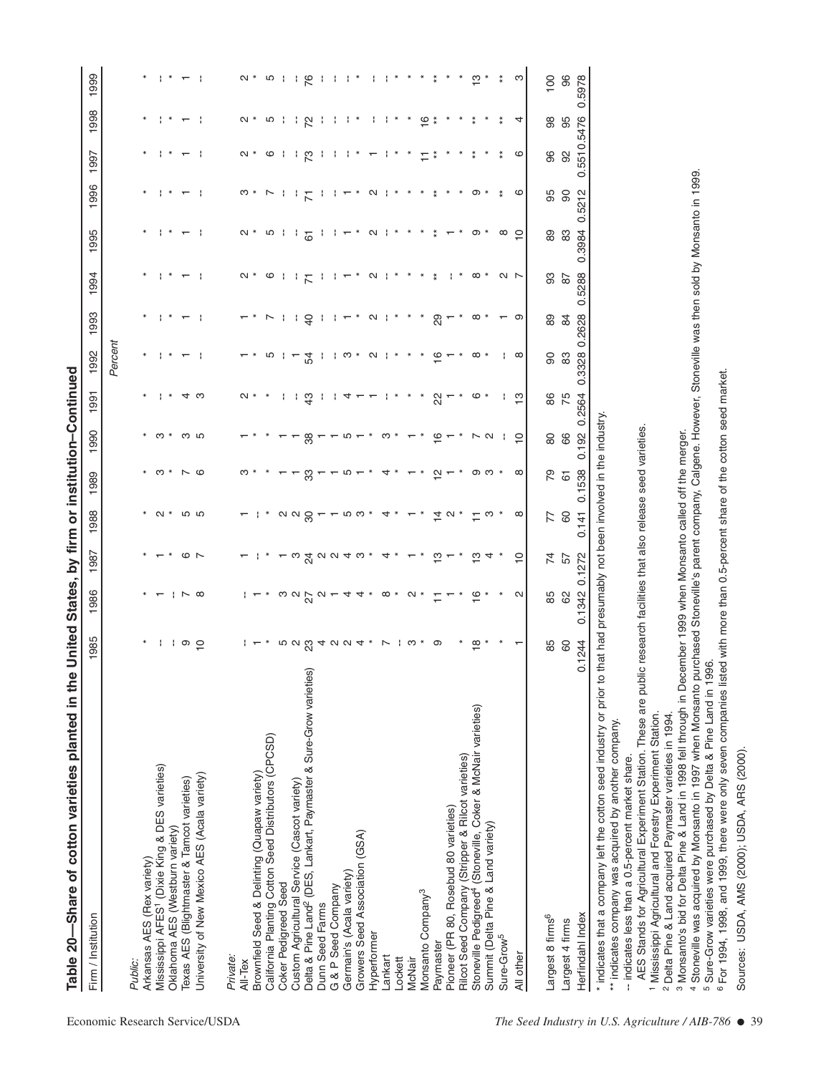|                                                           | Table 20—Share of cotton varieties planted in the                                                                                                                                                                                                  | United        | States,                                               |                 |                  | by firm or institution-Continued |                |                |                   |                          |                          |                          |                          |                |                                 |                          |
|-----------------------------------------------------------|----------------------------------------------------------------------------------------------------------------------------------------------------------------------------------------------------------------------------------------------------|---------------|-------------------------------------------------------|-----------------|------------------|----------------------------------|----------------|----------------|-------------------|--------------------------|--------------------------|--------------------------|--------------------------|----------------|---------------------------------|--------------------------|
|                                                           | Firm / Institution                                                                                                                                                                                                                                 | 985           | 1986                                                  | 1987            | 988              | 1989                             | 1990           | 991            | 1992              | 1993                     | 1994                     | 995                      | 1996                     | 1997           | 1998                            | 1999                     |
| Economic Research Service/USDA                            |                                                                                                                                                                                                                                                    |               |                                                       |                 |                  |                                  |                |                | Percent           |                          |                          |                          |                          |                |                                 |                          |
|                                                           | Public:                                                                                                                                                                                                                                            |               |                                                       |                 |                  |                                  |                |                |                   |                          |                          |                          |                          |                |                                 |                          |
|                                                           | Arkansas AES (Rex variety)                                                                                                                                                                                                                         |               |                                                       |                 |                  |                                  |                |                |                   |                          |                          |                          |                          |                |                                 |                          |
|                                                           | Mississippi AFES1 (Dixie King & DES varieties)                                                                                                                                                                                                     |               |                                                       |                 | $\sim$           | ო<br>$\ast$                      | ო<br>$\ast$    | $\ast$         |                   |                          |                          | $\ast$                   |                          |                |                                 |                          |
|                                                           | Texas AES (Blightmaster & Tamcot varieties)<br>Oklahoma AES (Westburn variety)                                                                                                                                                                     |               | $\cdot \sim \infty$                                   |                 |                  |                                  |                |                |                   | $\overline{\phantom{0}}$ | $\overline{\phantom{0}}$ |                          | $\overline{\phantom{0}}$ |                |                                 |                          |
|                                                           |                                                                                                                                                                                                                                                    | $\circ$ 5     |                                                       | $\circ$ $\sim$  | 5<br>5<br>5<br>5 | $\sim$ $\circ$                   | ო ი            | ⊣ ო            |                   |                          |                          | $\overline{\phantom{0}}$ |                          | ↽              | $\overline{\phantom{0}}$<br>- 1 | $\overline{\phantom{0}}$ |
|                                                           | University of New Mexico AES (Acala variety)                                                                                                                                                                                                       |               |                                                       |                 |                  |                                  |                |                |                   |                          |                          |                          |                          |                |                                 |                          |
|                                                           | Private:                                                                                                                                                                                                                                           |               |                                                       |                 |                  |                                  |                |                |                   |                          |                          |                          |                          |                |                                 |                          |
|                                                           | All-Tex                                                                                                                                                                                                                                            |               |                                                       |                 |                  |                                  |                | $\sim$         |                   |                          | $\sim$                   | $\sim$ $^*$              | ო *                      | $\sim$         | $\sim$                          | ∾ ∿                      |
|                                                           |                                                                                                                                                                                                                                                    |               |                                                       |                 |                  |                                  |                |                |                   |                          |                          |                          |                          |                |                                 |                          |
|                                                           | Brownfield Seed & Delinting (Quapaw variety)<br>California Planting Cotton Seed Distributors (CPCSD)                                                                                                                                               |               |                                                       |                 |                  |                                  |                |                | Ю                 | L                        | ဖ                        |                          | L                        | ဖ              | Ю                               | Ю                        |
|                                                           | Coker Pedigreed Seed                                                                                                                                                                                                                               | Ю             |                                                       |                 |                  |                                  |                |                |                   |                          | и.                       | ן ט                      |                          |                |                                 |                          |
|                                                           | Custom Agricultural Service (Cascot variety)                                                                                                                                                                                                       | $\sim$        |                                                       |                 |                  |                                  |                |                |                   |                          | ÷                        | -11                      | - 11                     | ÷              |                                 | - 11                     |
|                                                           | Delta & Pine Land <sup>2</sup> (DES, Lankart, Paymaster & Sure-Grow varieties)                                                                                                                                                                     | ಔ             | $\omega \omega \omega -$                              | r w g g g d 4 w | $\alpha \alpha$  | ္တ                               | 38             | $\frac{3}{4}$  | 54                | $\frac{1}{4}$            | $\overline{K}$           | $\overline{6}$           | $\overline{K}$           | $\mathcal{R}$  | $\overline{2}$                  | $\frac{8}{2}$            |
|                                                           | Dunn Seed Farms                                                                                                                                                                                                                                    | 4             |                                                       |                 |                  |                                  |                |                |                   |                          | ÷,                       | ÷,                       | ÷                        | ÷              | ÷                               |                          |
|                                                           | G & P Seed Company                                                                                                                                                                                                                                 | $\alpha$      |                                                       |                 |                  |                                  |                |                |                   | ÷                        |                          | ÷                        | -1                       | л.             | н.                              | - 1                      |
|                                                           | Germain's (Acala variety)                                                                                                                                                                                                                          |               | 4                                                     |                 | ဟ က              |                                  | ယ              | 4              | ო                 |                          |                          |                          |                          | ÷              | ÷                               |                          |
|                                                           | Growers Seed Association (GSA)                                                                                                                                                                                                                     | 4             | 4                                                     |                 |                  |                                  |                |                | $\ast$            |                          | $\ast$                   | $^\ast$                  | $\ast$                   |                | $\ast$                          |                          |
|                                                           | Hyperformer                                                                                                                                                                                                                                        |               |                                                       |                 |                  |                                  |                |                | $\mathbf{\Omega}$ | $\mathbf{\Omega}$        | $\mathbf{\Omega}$        | $\mathbf{\Omega}$        | $\mathbf{\Omega}$        |                | ÷                               | ÷.                       |
|                                                           | Lankart                                                                                                                                                                                                                                            |               | $^\infty$                                             | 4               | 4                | 4                                | ო              |                |                   | ÷.                       |                          | ÷,                       |                          |                | ÷                               | -1                       |
|                                                           | Lockett                                                                                                                                                                                                                                            |               |                                                       |                 |                  |                                  |                |                |                   |                          |                          |                          |                          |                | $\ast$                          |                          |
|                                                           | McNair                                                                                                                                                                                                                                             | ო             | $\mathbf{\Omega}$                                     |                 |                  |                                  |                |                |                   |                          | $\ast$                   |                          | $\ast$                   |                | $\ast$                          | $\ast$                   |
|                                                           | Monsanto Company <sup>3</sup>                                                                                                                                                                                                                      |               |                                                       |                 |                  |                                  |                | $\ast$         |                   |                          | $\ast$                   |                          | $\ast$                   |                | $\frac{6}{1}$                   | $\ast$                   |
|                                                           | Paymaster                                                                                                                                                                                                                                          | ၜ             |                                                       | $\frac{1}{2}$   | Ż,               | 은                                | $\frac{6}{1}$  | 22             | $\frac{6}{1}$     | 29                       |                          |                          | $\frac{*}{*}$            |                | $\ddot{*}$                      |                          |
|                                                           | Pioneer (PR 80, Rosebud 80 varieties)                                                                                                                                                                                                              |               |                                                       |                 | $\sim$           |                                  |                | $\mathbf \tau$ |                   |                          |                          |                          |                          |                |                                 |                          |
|                                                           | Rilcot Seed Company (Stripper & Rilcot varieties)                                                                                                                                                                                                  |               |                                                       |                 |                  |                                  |                |                |                   |                          |                          |                          |                          |                |                                 |                          |
|                                                           |                                                                                                                                                                                                                                                    | $\frac{8}{1}$ | $\frac{6}{1}$                                         | ဗ္              | Ξ                | ၜ                                |                | ဖ              | $^\infty$         | $\infty$                 | $\infty$                 | ၜ                        | ၜ                        |                |                                 | ္                        |
|                                                           | Stoneville Pedigreed <sup>4</sup> (Stoneville, Coker & McNair varieties)<br>Summit (Delta Pine & Land variety)                                                                                                                                     |               |                                                       |                 |                  | ო                                | $\sim$         |                |                   |                          | $\ast$                   |                          |                          |                |                                 | $\ast$                   |
|                                                           | Sure-Grow <sup>5</sup>                                                                                                                                                                                                                             |               |                                                       |                 |                  |                                  |                |                |                   |                          |                          | œ                        |                          | $\ddot{*}$     |                                 |                          |
|                                                           | All other                                                                                                                                                                                                                                          |               | $\mathbf{\Omega}$                                     | $\overline{C}$  | $\infty$         | $\infty$                         | $\overline{c}$ | $\frac{1}{2}$  | $\infty$          | ၜ                        | $\sim$ $\sim$            | $\overline{C}$           | ဖ                        | ဖ              | 4                               | ო                        |
|                                                           |                                                                                                                                                                                                                                                    |               |                                                       |                 |                  |                                  |                |                |                   |                          |                          |                          |                          |                |                                 |                          |
|                                                           | Largest 8 firms <sup>6</sup>                                                                                                                                                                                                                       | 85            | 85                                                    | 74              | 77               | 79                               | 80             | 86             | 8                 | 89                       | 93                       | 89                       | 95                       | 96             | 86                              | 100                      |
|                                                           | Largest 4 firms                                                                                                                                                                                                                                    | 60            | 82                                                    | 57              | 60               | $\overline{6}$                   | 89             | 75             | 83                | 84                       | $\frac{8}{2}$            | 83                       | 90                       | 92             | 95                              | 96                       |
|                                                           | Herfindahl Index                                                                                                                                                                                                                                   | 0.1244        | 0.1342 0.1272                                         |                 | 0.141            | 0.1538                           | 0.192          | 0.2564         | 0.3328 0.2628     | ö                        | .5288                    | 0.3984                   | 0.5212                   | 5510.5476<br>ö |                                 | 0.5978                   |
|                                                           | * indicates that a company left the cotton seed industry or prior to                                                                                                                                                                               |               | that had presumably not been involved in the industry |                 |                  |                                  |                |                |                   |                          |                          |                          |                          |                |                                 |                          |
|                                                           | ** indicates company was acquired by another company.                                                                                                                                                                                              |               |                                                       |                 |                  |                                  |                |                |                   |                          |                          |                          |                          |                |                                 |                          |
|                                                           | -- indicates less than a 0.5-percent market share.                                                                                                                                                                                                 |               |                                                       |                 |                  |                                  |                |                |                   |                          |                          |                          |                          |                |                                 |                          |
|                                                           | AES Stands for Agricultural Experiment Station. These are public research facilities that also release seed varieties.                                                                                                                             |               |                                                       |                 |                  |                                  |                |                |                   |                          |                          |                          |                          |                |                                 |                          |
|                                                           | <sup>1</sup> Mississippi Agricultural and Forestry Experiment Station.<br><sup>2</sup> Delta Pine & Land acquired Paymaster varieties in 1994.                                                                                                     |               |                                                       |                 |                  |                                  |                |                |                   |                          |                          |                          |                          |                |                                 |                          |
|                                                           | <sup>3</sup> Monsanto's bid for Delta Pine & Land in 1998 fell through in December 1999 when Monsanto called off the merger.                                                                                                                       |               |                                                       |                 |                  |                                  |                |                |                   |                          |                          |                          |                          |                |                                 |                          |
| The Seed Industry in U.S. Agriculture / AIB-786 $\bullet$ | 4 Stoneville was acquired by Monsanto in 1997 when Monsanto purchased Stoneville's parent company, Calgene. However, Stoneville was then sold by Monsanto in 1999.<br><sup>5</sup> Sure-Grow varieties were purchased by Delta & Pine Land in 1996 |               |                                                       |                 |                  |                                  |                |                |                   |                          |                          |                          |                          |                |                                 |                          |
|                                                           | <sup>6</sup> For 1994, 1998, and 1999, there were only seven companies listed with more than 0.5-percent share of the cotton seed market                                                                                                           |               |                                                       |                 |                  |                                  |                |                |                   |                          |                          |                          |                          |                |                                 |                          |
|                                                           | Sources: USDA, AMS (2000); USDA, ARS (2000)                                                                                                                                                                                                        |               |                                                       |                 |                  |                                  |                |                |                   |                          |                          |                          |                          |                |                                 |                          |
| -39                                                       |                                                                                                                                                                                                                                                    |               |                                                       |                 |                  |                                  |                |                |                   |                          |                          |                          |                          |                |                                 |                          |
|                                                           |                                                                                                                                                                                                                                                    |               |                                                       |                 |                  |                                  |                |                |                   |                          |                          |                          |                          |                |                                 |                          |